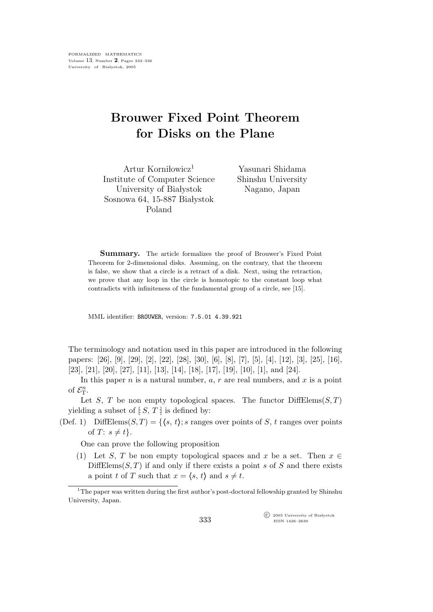## Brouwer Fixed Point Theorem for Disks on the Plane

Artur Korni $lowicz<sup>1</sup>$ Institute of Computer Science University of Białystok Sosnowa 64, 15-887 Białystok Poland

Yasunari Shidama Shinshu University Nagano, Japan

Summary. The article formalizes the proof of Brouwer's Fixed Point Theorem for 2-dimensional disks. Assuming, on the contrary, that the theorem is false, we show that a circle is a retract of a disk. Next, using the retraction, we prove that any loop in the circle is homotopic to the constant loop what contradicts with infiniteness of the fundamental group of a circle, see [15].

MML identifier: BROUWER, version: 7.5.01 4.39.921

The terminology and notation used in this paper are introduced in the following papers: [26], [9], [29], [2], [22], [28], [30], [6], [8], [7], [5], [4], [12], [3], [25], [16], [23], [21], [20], [27], [11], [13], [14], [18], [17], [19], [10], [1], and [24].

In this paper  $n$  is a natural number,  $a, r$  are real numbers, and  $x$  is a point of  $\mathcal{E}_{\mathrm{T}}^n$ .

Let S, T be non empty topological spaces. The functor  $DiffElements(S, T)$ yielding a subset of  $[S, T]$  is defined by:

(Def. 1) DiffElems $(S, T) = \{ \langle s, t \rangle : s \text{ ranges over points of } S, t \text{ ranges over points} \}$ of  $T: s \neq t$ .

One can prove the following proposition

(1) Let S, T be non empty topological spaces and x be a set. Then  $x \in$  $DiffElements(S, T)$  if and only if there exists a point s of S and there exists a point t of T such that  $x = \langle s, t \rangle$  and  $s \neq t$ .

<sup>1</sup>The paper was written during the first author's post-doctoral fellowship granted by Shinshu University, Japan.

> $\widehat{C}$  2005 University of Białystok ISSN 1426–2630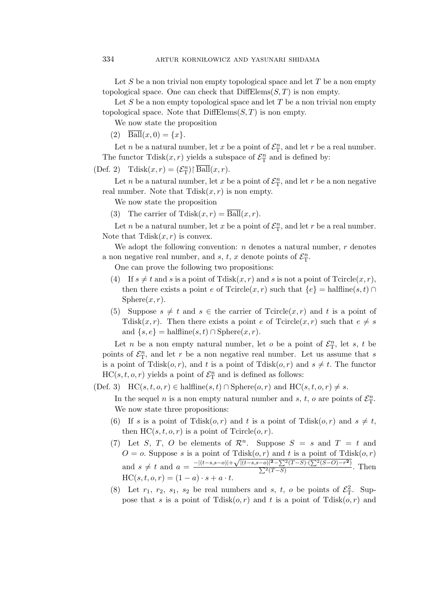Let S be a non trivial non empty topological space and let  $T$  be a non empty topological space. One can check that  $\text{DiffElements}(S, T)$  is non empty.

Let S be a non empty topological space and let  $T$  be a non trivial non empty topological space. Note that  $DiffElements(S, T)$  is non empty.

We now state the proposition

(2)  $\overline{\text{Ball}}(x, 0) = \{x\}.$ 

Let *n* be a natural number, let *x* be a point of  $\mathcal{E}_{\text{T}}^n$ , and let *r* be a real number. The functor  $T \text{disk}(x, r)$  yields a subspace of  $\mathcal{E}_{T}^{n}$  and is defined by:

(Def. 2)  $\text{Tdisk}(x,r) = (\mathcal{E}_{\text{T}}^n) \mid \overline{\text{Ball}}(x,r).$ 

Let *n* be a natural number, let *x* be a point of  $\mathcal{E}_{\textrm{T}}^n$ , and let *r* be a non negative real number. Note that  $Tdisk(x, r)$  is non empty.

We now state the proposition

(3) The carrier of  $\text{Tdisk}(x,r) = \overline{\text{Ball}}(x,r)$ .

Let *n* be a natural number, let *x* be a point of  $\mathcal{E}_{\text{T}}^n$ , and let *r* be a real number. Note that  $Tdisk(x, r)$  is convex.

We adopt the following convention:  $n$  denotes a natural number,  $r$  denotes a non negative real number, and s, t, x denote points of  $\mathcal{E}_{\textrm{T}}^n$ .

One can prove the following two propositions:

- (4) If  $s \neq t$  and s is a point of Tdisk $(x, r)$  and s is not a point of Tcircle $(x, r)$ , then there exists a point e of  $T \text{circle}(x, r)$  such that  $\{e\} = \text{halfline}(s, t) \cap$  $Sphere(x, r).$
- (5) Suppose  $s \neq t$  and  $s \in$  the carrier of Tcircle $(x, r)$  and t is a point of Tdisk $(x, r)$ . Then there exists a point e of Tcircle $(x, r)$  such that  $e \neq s$ and  $\{s,e\}$  = halfline $(s,t)$  ∩ Sphere $(x,r)$ .

Let *n* be a non empty natural number, let *o* be a point of  $\mathcal{E}_{\mathcal{T}}^n$ , let *s*, *t* be points of  $\mathcal{E}_{\textrm{T}}^n$ , and let r be a non negative real number. Let us assume that s is a point of Tdisk $(o, r)$ , and t is a point of Tdisk $(o, r)$  and  $s \neq t$ . The functor  $HC(s, t, o, r)$  yields a point of  $\mathcal{E}_{\textrm{T}}^n$  and is defined as follows:

(Def. 3) HC(s, t, o, r) ∈ halfline(s, t) ∩ Sphere(o, r) and HC(s, t, o, r)  $\neq$  s.

In the sequel *n* is a non empty natural number and *s*, *t*, *o* are points of  $\mathcal{E}_{T}^{n}$ . We now state three propositions:

- (6) If s is a point of Tdisk $(o, r)$  and t is a point of Tdisk $(o, r)$  and  $s \neq t$ , then  $HC(s, t, o, r)$  is a point of  $T$ circle $(o, r)$ .
- (7) Let S, T, O be elements of  $\mathcal{R}^n$ . Suppose  $S = s$  and  $T = t$  and  $O = o$ . Suppose s is a point of Tdisk $(o, r)$  and t is a point of Tdisk $(o, r)$ and  $s \neq t$  and  $a = \frac{-|(t-s,s-o)| + \sqrt{|(t-s,s-o)|^2 - \sum^2 (T-S) \cdot (\sum^2 (S-O) - r^2)}{\sum^2 (T-S)}$  $\Sigma$ )  $\frac{f''(T-S)(T-S)(T-S)}{2(T-S)}$ . Then  $HC(s, t, o, r) = (1 - a) \cdot s + a \cdot t.$
- (8) Let  $r_1$ ,  $r_2$ ,  $s_1$ ,  $s_2$  be real numbers and  $s$ ,  $t$ ,  $o$  be points of  $\mathcal{E}_T^2$ . Suppose that s is a point of  $T \text{disk}(o,r)$  and t is a point of  $T \text{disk}(o,r)$  and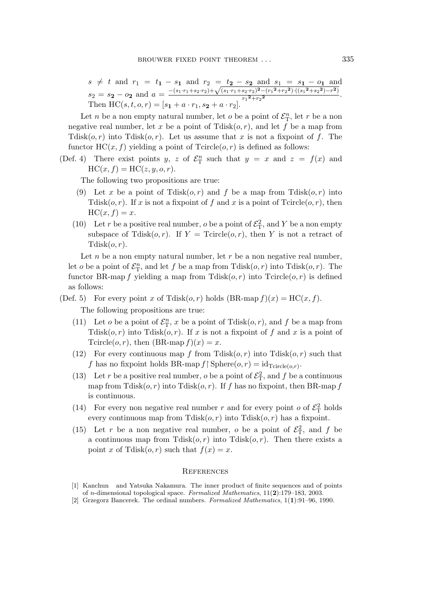$s \neq t$  and  $r_1 = t_1 - s_1$  and  $r_2 = t_2 - s_2$  and  $s_1 = s_1 - o_1$  and  $s_2 = s_2 - o_2$  and  $a =$  $-(s_1\cdot r_1+s_2\cdot r_2)+\sqrt{(s_1\cdot r_1+s_2\cdot r_2)^2-(r_1^2+r_2^2)\cdot((s_1^2+s_2^2)-r^2)}$  $\frac{32^{r_1}2^{r_2-r_1+r_2-r_1}(-1)^{r_1+r_2-r_2-r_1-r_2-r_1}}{r_1^2+r_2^2}.$ Then  $HC(s, t, o, r) = [s_1 + a \cdot r_1, s_2 + a \cdot r_2].$ 

Let *n* be a non empty natural number, let *o* be a point of  $\mathcal{E}_{\text{T}}^{n}$ , let *r* be a non negative real number, let x be a point of  $Tdisk(o, r)$ , and let f be a map from  $T\text{disk}(o,r)$  into  $T\text{disk}(o,r)$ . Let us assume that x is not a fixpoint of f. The functor  $HC(x, f)$  yielding a point of  $T\text{circle}(o, r)$  is defined as follows:

(Def. 4) There exist points y, z of  $\mathcal{E}_{\mathcal{T}}^n$  such that  $y = x$  and  $z = f(x)$  and  $HC(x, f) = HC(z, y, o, r).$ 

The following two propositions are true:

- (9) Let x be a point of Tdisk $(o, r)$  and f be a map from Tdisk $(o, r)$  into Tdisk $(o, r)$ . If x is not a fixpoint of f and x is a point of Tcircle $(o, r)$ , then  $HC(x, f) = x.$
- (10) Let r be a positive real number, o be a point of  $\mathcal{E}_{\rm T}^2$ , and Y be a non empty subspace of Tdisk $(o, r)$ . If  $Y = \text{Tcircle}(o, r)$ , then Y is not a retract of  $Tdisk(o, r)$ .

Let  $n$  be a non empty natural number, let  $r$  be a non negative real number, let *o* be a point of  $\mathcal{E}_{\mathcal{T}}^n$ , and let *f* be a map from Tdisk $(o, r)$  into Tdisk $(o, r)$ . The functor BR-map f yielding a map from Tdisk $(o, r)$  into Tcircle $(o, r)$  is defined as follows:

- (Def. 5) For every point x of Tdisk $(o, r)$  holds  $(BR-map f)(x) = HC(x, f)$ . The following propositions are true:
	- (11) Let  $o$  be a point of  $\mathcal{E}_{\mathcal{T}}^n$ ,  $x$  be a point of Tdisk $(o, r)$ , and  $f$  be a map from  $Tdisk(o, r)$  into  $Tdisk(o, r)$ . If x is not a fixpoint of f and x is a point of Tcircle(*o,r*), then  $(BR$ -map  $f(x) = x$ .
	- (12) For every continuous map f from  $Tdisk(o,r)$  into  $Tdisk(o,r)$  such that f has no fixpoint holds BR-map  $f \upharpoonright$  Sphere $(o, r) = id_{T \text{circle}(o,r)}$ .
	- (13) Let r be a positive real number, o be a point of  $\mathcal{E}_{\rm T}^2$ , and f be a continuous map from Tdisk $(o, r)$  into Tdisk $(o, r)$ . If f has no fixpoint, then BR-map f is continuous.
	- (14) For every non negative real number r and for every point  $o$  of  $\mathcal{E}_{\rm T}^2$  holds every continuous map from  $Tdisk(o, r)$  into  $Tdisk(o, r)$  has a fixpoint.
	- (15) Let r be a non negative real number, o be a point of  $\mathcal{E}_{\rm T}^2$ , and f be a continuous map from  $Tdisk(o, r)$  into  $Tdisk(o, r)$ . Then there exists a point x of Tdisk $(o, r)$  such that  $f(x) = x$ .

## **REFERENCES**

- [1] Kanchun and Yatsuka Nakamura. The inner product of finite sequences and of points of n-dimensional topological space. Formalized Mathematics, 11(2):179–183, 2003.
- [2] Grzegorz Bancerek. The ordinal numbers. Formalized Mathematics, 1(1):91–96, 1990.